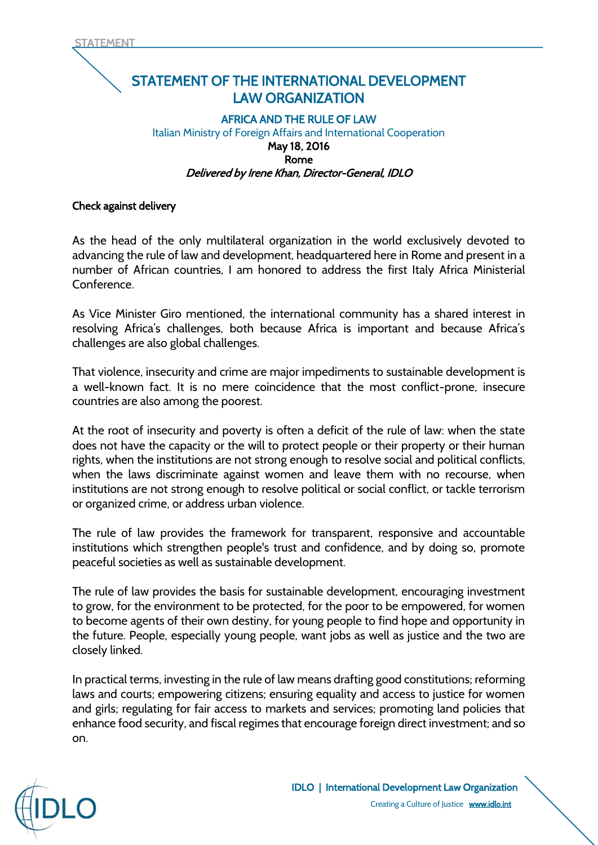## STATEMENT OF THE INTERNATIONAL DEVELOPMENT LAW ORGANIZATION

## AFRICA AND THE RULE OF LAW Italian Ministry of Foreign Affairs and International Cooperation May 18, 2016 Rome Delivered by Irene Khan, Director-General, IDLO

## Check against delivery

As the head of the only multilateral organization in the world exclusively devoted to advancing the rule of law and development, headquartered here in Rome and present in a number of African countries, I am honored to address the first Italy Africa Ministerial Conference.

As Vice Minister Giro mentioned, the international community has a shared interest in resolving Africa's challenges, both because Africa is important and because Africa's challenges are also global challenges.

That violence, insecurity and crime are major impediments to sustainable development is a well-known fact. It is no mere coincidence that the most conflict-prone, insecure countries are also among the poorest.

At the root of insecurity and poverty is often a deficit of the rule of law: when the state does not have the capacity or the will to protect people or their property or their human rights, when the institutions are not strong enough to resolve social and political conflicts, when the laws discriminate against women and leave them with no recourse, when institutions are not strong enough to resolve political or social conflict, or tackle terrorism or organized crime, or address urban violence.

The rule of law provides the framework for transparent, responsive and accountable institutions which strengthen people's trust and confidence, and by doing so, promote peaceful societies as well as sustainable development.

The rule of law provides the basis for sustainable development, encouraging investment to grow, for the environment to be protected, for the poor to be empowered, for women to become agents of their own destiny, for young people to find hope and opportunity in the future. People, especially young people, want jobs as well as justice and the two are closely linked.

In practical terms, investing in the rule of law means drafting good constitutions; reforming laws and courts; empowering citizens; ensuring equality and access to justice for women and girls; regulating for fair access to markets and services; promoting land policies that enhance food security, and fiscal regimes that encourage foreign direct investment; and so on.

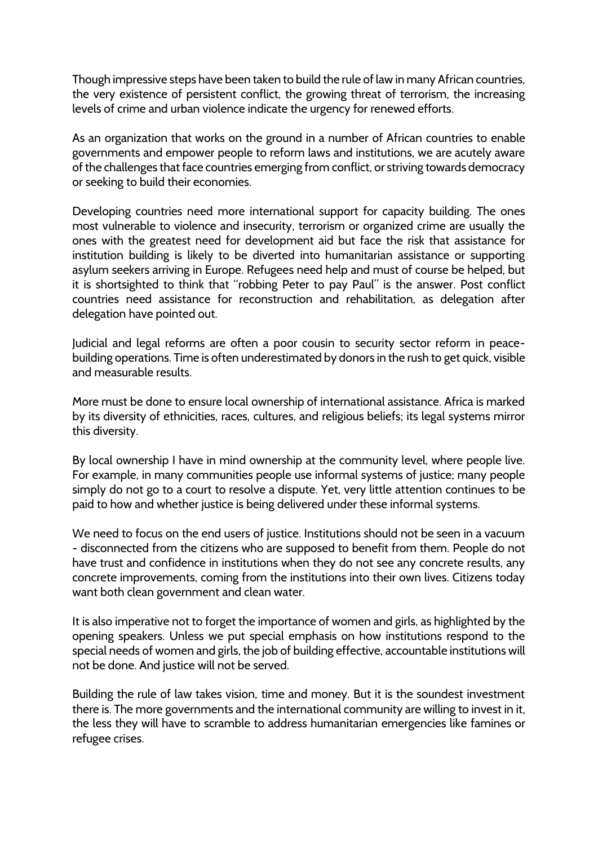Though impressive steps have been taken to build the rule of law in many African countries, the very existence of persistent conflict, the growing threat of terrorism, the increasing levels of crime and urban violence indicate the urgency for renewed efforts.

As an organization that works on the ground in a number of African countries to enable governments and empower people to reform laws and institutions, we are acutely aware of the challenges that face countries emerging from conflict, or striving towards democracy or seeking to build their economies.

Developing countries need more international support for capacity building. The ones most vulnerable to violence and insecurity, terrorism or organized crime are usually the ones with the greatest need for development aid but face the risk that assistance for institution building is likely to be diverted into humanitarian assistance or supporting asylum seekers arriving in Europe. Refugees need help and must of course be helped, but it is shortsighted to think that "robbing Peter to pay Paul" is the answer. Post conflict countries need assistance for reconstruction and rehabilitation, as delegation after delegation have pointed out.

Judicial and legal reforms are often a poor cousin to security sector reform in peacebuilding operations. Time is often underestimated by donors in the rush to get quick, visible and measurable results.

More must be done to ensure local ownership of international assistance. Africa is marked by its diversity of ethnicities, races, cultures, and religious beliefs; its legal systems mirror this diversity.

By local ownership I have in mind ownership at the community level, where people live. For example, in many communities people use informal systems of justice; many people simply do not go to a court to resolve a dispute. Yet, very little attention continues to be paid to how and whether justice is being delivered under these informal systems.

We need to focus on the end users of justice. Institutions should not be seen in a vacuum - disconnected from the citizens who are supposed to benefit from them. People do not have trust and confidence in institutions when they do not see any concrete results, any concrete improvements, coming from the institutions into their own lives. Citizens today want both clean government and clean water.

It is also imperative not to forget the importance of women and girls, as highlighted by the opening speakers. Unless we put special emphasis on how institutions respond to the special needs of women and girls, the job of building effective, accountable institutions will not be done. And justice will not be served.

Building the rule of law takes vision, time and money. But it is the soundest investment there is. The more governments and the international community are willing to invest in it, the less they will have to scramble to address humanitarian emergencies like famines or refugee crises.